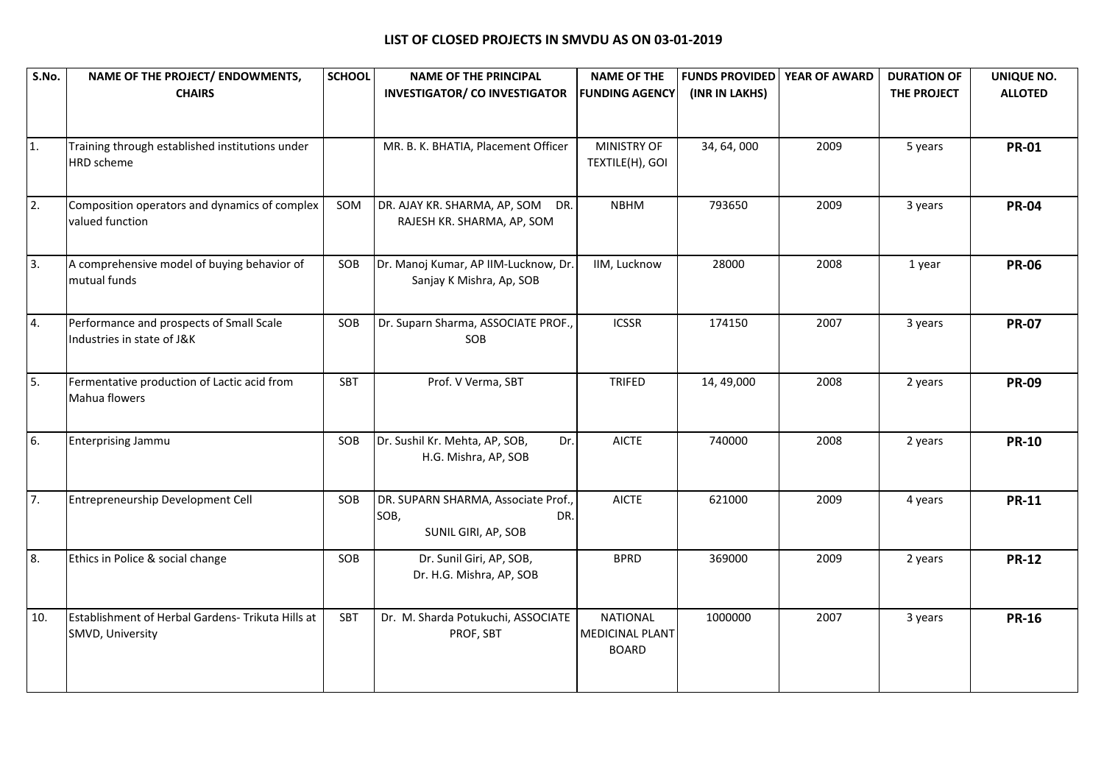| S.No.            | NAME OF THE PROJECT/ ENDOWMENTS,<br><b>CHAIRS</b>                      | <b>SCHOOL</b> | <b>NAME OF THE PRINCIPAL</b><br><b>INVESTIGATOR/ CO INVESTIGATOR</b>      | <b>NAME OF THE</b><br><b>FUNDING AGENCY</b>               | <b>FUNDS PROVIDED</b><br>(INR IN LAKHS) | YEAR OF AWARD | <b>DURATION OF</b><br>THE PROJECT | UNIQUE NO.<br><b>ALLOTED</b> |
|------------------|------------------------------------------------------------------------|---------------|---------------------------------------------------------------------------|-----------------------------------------------------------|-----------------------------------------|---------------|-----------------------------------|------------------------------|
| 1.               | Training through established institutions under<br><b>HRD</b> scheme   |               | MR. B. K. BHATIA, Placement Officer                                       | MINISTRY OF<br>TEXTILE(H), GOI                            | 34, 64, 000                             | 2009          | 5 years                           | <b>PR-01</b>                 |
| $\overline{2}$ . | Composition operators and dynamics of complex<br>valued function       | SOM           | DR. AJAY KR. SHARMA, AP, SOM DR.<br>RAJESH KR. SHARMA, AP, SOM            | <b>NBHM</b>                                               | 793650                                  | 2009          | 3 years                           | <b>PR-04</b>                 |
| $\overline{3}$ . | A comprehensive model of buying behavior of<br>mutual funds            | SOB           | Dr. Manoj Kumar, AP IIM-Lucknow, Dr.<br>Sanjay K Mishra, Ap, SOB          | IIM, Lucknow                                              | 28000                                   | 2008          | 1 year                            | <b>PR-06</b>                 |
| 4.               | Performance and prospects of Small Scale<br>Industries in state of J&K | SOB           | Dr. Suparn Sharma, ASSOCIATE PROF.,<br>SOB                                | <b>ICSSR</b>                                              | 174150                                  | 2007          | 3 years                           | <b>PR-07</b>                 |
| 5.               | Fermentative production of Lactic acid from<br>Mahua flowers           | SBT           | Prof. V Verma, SBT                                                        | <b>TRIFED</b>                                             | 14, 49,000                              | 2008          | 2 years                           | <b>PR-09</b>                 |
| 6.               | <b>Enterprising Jammu</b>                                              | SOB           | Dr. Sushil Kr. Mehta, AP, SOB,<br>Dr.<br>H.G. Mishra, AP, SOB             | <b>AICTE</b>                                              | 740000                                  | 2008          | 2 years                           | <b>PR-10</b>                 |
| 7.               | Entrepreneurship Development Cell                                      | SOB           | DR. SUPARN SHARMA, Associate Prof.,<br>SOB,<br>DR.<br>SUNIL GIRI, AP, SOB | <b>AICTE</b>                                              | 621000                                  | 2009          | 4 years                           | <b>PR-11</b>                 |
| 8.               | Ethics in Police & social change                                       | SOB           | Dr. Sunil Giri, AP, SOB,<br>Dr. H.G. Mishra, AP, SOB                      | <b>BPRD</b>                                               | 369000                                  | 2009          | 2 years                           | <b>PR-12</b>                 |
| 10.              | Establishment of Herbal Gardens- Trikuta Hills at<br>SMVD, University  | <b>SBT</b>    | Dr. M. Sharda Potukuchi, ASSOCIATE<br>PROF, SBT                           | <b>NATIONAL</b><br><b>MEDICINAL PLANT</b><br><b>BOARD</b> | 1000000                                 | 2007          | 3 years                           | <b>PR-16</b>                 |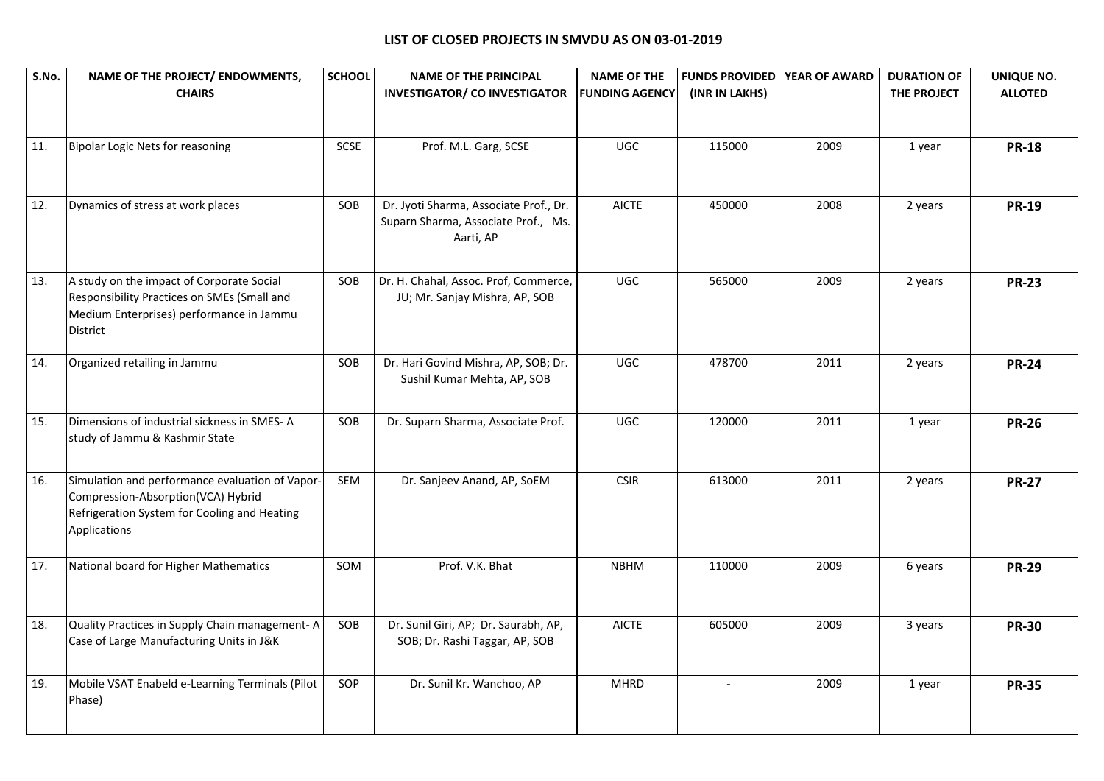| S.No. | NAME OF THE PROJECT/ ENDOWMENTS,<br><b>CHAIRS</b>                                                                                                     | <b>SCHOOL</b> | <b>NAME OF THE PRINCIPAL</b><br><b>INVESTIGATOR/ CO INVESTIGATOR</b>                       | <b>NAME OF THE</b><br><b>FUNDING AGENCY</b> | <b>FUNDS PROVIDED</b><br>(INR IN LAKHS) | <b>YEAR OF AWARD</b> | <b>DURATION OF</b><br>THE PROJECT | UNIQUE NO.<br><b>ALLOTED</b> |
|-------|-------------------------------------------------------------------------------------------------------------------------------------------------------|---------------|--------------------------------------------------------------------------------------------|---------------------------------------------|-----------------------------------------|----------------------|-----------------------------------|------------------------------|
| 11.   | <b>Bipolar Logic Nets for reasoning</b>                                                                                                               | SCSE          | Prof. M.L. Garg, SCSE                                                                      | UGC                                         | 115000                                  | 2009                 | 1 year                            | <b>PR-18</b>                 |
| 12.   | Dynamics of stress at work places                                                                                                                     | SOB           | Dr. Jyoti Sharma, Associate Prof., Dr.<br>Suparn Sharma, Associate Prof., Ms.<br>Aarti, AP | <b>AICTE</b>                                | 450000                                  | 2008                 | 2 years                           | <b>PR-19</b>                 |
| 13.   | A study on the impact of Corporate Social<br>Responsibility Practices on SMEs (Small and<br>Medium Enterprises) performance in Jammu<br>District      | SOB           | Dr. H. Chahal, Assoc. Prof, Commerce,<br>JU; Mr. Sanjay Mishra, AP, SOB                    | <b>UGC</b>                                  | 565000                                  | 2009                 | 2 years                           | <b>PR-23</b>                 |
| 14.   | Organized retailing in Jammu                                                                                                                          | SOB           | Dr. Hari Govind Mishra, AP, SOB; Dr.<br>Sushil Kumar Mehta, AP, SOB                        | <b>UGC</b>                                  | 478700                                  | 2011                 | 2 years                           | <b>PR-24</b>                 |
| 15.   | Dimensions of industrial sickness in SMES-A<br>study of Jammu & Kashmir State                                                                         | SOB           | Dr. Suparn Sharma, Associate Prof.                                                         | <b>UGC</b>                                  | 120000                                  | 2011                 | 1 year                            | <b>PR-26</b>                 |
| 16.   | Simulation and performance evaluation of Vapor-<br>Compression-Absorption(VCA) Hybrid<br>Refrigeration System for Cooling and Heating<br>Applications | <b>SEM</b>    | Dr. Sanjeev Anand, AP, SoEM                                                                | <b>CSIR</b>                                 | 613000                                  | 2011                 | 2 years                           | <b>PR-27</b>                 |
| 17.   | National board for Higher Mathematics                                                                                                                 | SOM           | Prof. V.K. Bhat                                                                            | <b>NBHM</b>                                 | 110000                                  | 2009                 | 6 years                           | <b>PR-29</b>                 |
| 18.   | Quality Practices in Supply Chain management- A<br>Case of Large Manufacturing Units in J&K                                                           | SOB           | Dr. Sunil Giri, AP; Dr. Saurabh, AP,<br>SOB; Dr. Rashi Taggar, AP, SOB                     | <b>AICTE</b>                                | 605000                                  | 2009                 | 3 years                           | <b>PR-30</b>                 |
| 19.   | Mobile VSAT Enabeld e-Learning Terminals (Pilot<br>Phase)                                                                                             | SOP           | Dr. Sunil Kr. Wanchoo, AP                                                                  | <b>MHRD</b>                                 | $\overline{a}$                          | 2009                 | 1 year                            | <b>PR-35</b>                 |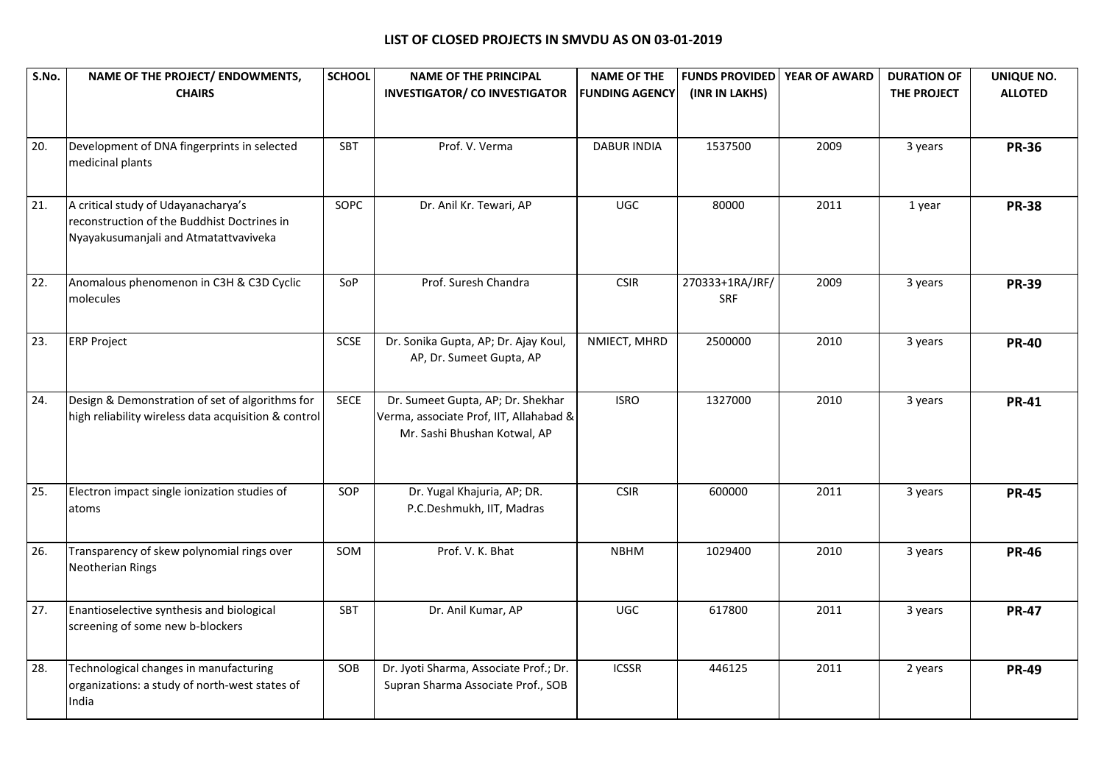| S.No.             | NAME OF THE PROJECT/ ENDOWMENTS,<br><b>CHAIRS</b>                                                                           | <b>SCHOOL</b> | <b>NAME OF THE PRINCIPAL</b><br><b>INVESTIGATOR/ CO INVESTIGATOR</b>                                         | <b>NAME OF THE</b><br><b>FUNDING AGENCY</b> | <b>FUNDS PROVIDED</b><br>(INR IN LAKHS) | <b>YEAR OF AWARD</b> | <b>DURATION OF</b><br>THE PROJECT | UNIQUE NO.<br><b>ALLOTED</b> |
|-------------------|-----------------------------------------------------------------------------------------------------------------------------|---------------|--------------------------------------------------------------------------------------------------------------|---------------------------------------------|-----------------------------------------|----------------------|-----------------------------------|------------------------------|
| 20.               | Development of DNA fingerprints in selected<br>medicinal plants                                                             | SBT           | Prof. V. Verma                                                                                               | <b>DABUR INDIA</b>                          | 1537500                                 | 2009                 | 3 years                           | <b>PR-36</b>                 |
| 21.               | A critical study of Udayanacharya's<br>reconstruction of the Buddhist Doctrines in<br>Nyayakusumanjali and Atmatattvaviveka | SOPC          | Dr. Anil Kr. Tewari, AP                                                                                      | <b>UGC</b>                                  | 80000                                   | 2011                 | 1 year                            | <b>PR-38</b>                 |
| $\overline{22}$ . | Anomalous phenomenon in C3H & C3D Cyclic<br>molecules                                                                       | SoP           | Prof. Suresh Chandra                                                                                         | <b>CSIR</b>                                 | 270333+1RA/JRF/<br><b>SRF</b>           | 2009                 | 3 years                           | <b>PR-39</b>                 |
| 23.               | <b>ERP Project</b>                                                                                                          | <b>SCSE</b>   | Dr. Sonika Gupta, AP; Dr. Ajay Koul,<br>AP, Dr. Sumeet Gupta, AP                                             | NMIECT, MHRD                                | 2500000                                 | 2010                 | 3 years                           | <b>PR-40</b>                 |
| 24.               | Design & Demonstration of set of algorithms for<br>high reliability wireless data acquisition & control                     | <b>SECE</b>   | Dr. Sumeet Gupta, AP; Dr. Shekhar<br>Verma, associate Prof, IIT, Allahabad &<br>Mr. Sashi Bhushan Kotwal, AP | <b>ISRO</b>                                 | 1327000                                 | 2010                 | 3 years                           | <b>PR-41</b>                 |
| 25.               | Electron impact single ionization studies of<br>atoms                                                                       | SOP           | Dr. Yugal Khajuria, AP; DR.<br>P.C.Deshmukh, IIT, Madras                                                     | <b>CSIR</b>                                 | 600000                                  | 2011                 | 3 years                           | <b>PR-45</b>                 |
| 26.               | Transparency of skew polynomial rings over<br><b>Neotherian Rings</b>                                                       | SOM           | Prof. V. K. Bhat                                                                                             | <b>NBHM</b>                                 | 1029400                                 | 2010                 | 3 years                           | <b>PR-46</b>                 |
| 27.               | Enantioselective synthesis and biological<br>screening of some new b-blockers                                               | SBT           | Dr. Anil Kumar, AP                                                                                           | <b>UGC</b>                                  | 617800                                  | 2011                 | 3 years                           | <b>PR-47</b>                 |
| 28.               | Technological changes in manufacturing<br>organizations: a study of north-west states of<br>India                           | SOB           | Dr. Jyoti Sharma, Associate Prof.; Dr.<br>Supran Sharma Associate Prof., SOB                                 | <b>ICSSR</b>                                | 446125                                  | 2011                 | 2 years                           | <b>PR-49</b>                 |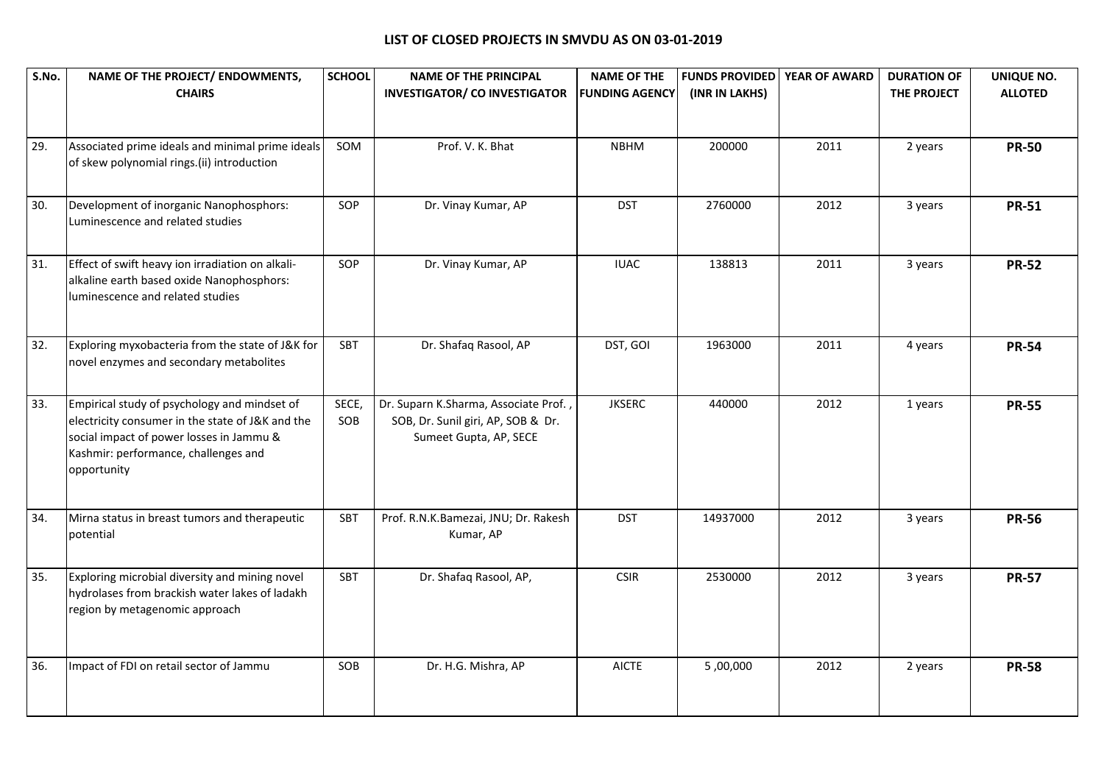| S.No. | NAME OF THE PROJECT/ ENDOWMENTS,<br><b>CHAIRS</b>                                                                                                                                                   | <b>SCHOOL</b> | <b>NAME OF THE PRINCIPAL</b><br><b>INVESTIGATOR/ CO INVESTIGATOR</b>                                  | <b>NAME OF THE</b><br><b>FUNDING AGENCY</b> | <b>FUNDS PROVIDED</b><br>(INR IN LAKHS) | YEAR OF AWARD | <b>DURATION OF</b><br>THE PROJECT | UNIQUE NO.<br><b>ALLOTED</b> |
|-------|-----------------------------------------------------------------------------------------------------------------------------------------------------------------------------------------------------|---------------|-------------------------------------------------------------------------------------------------------|---------------------------------------------|-----------------------------------------|---------------|-----------------------------------|------------------------------|
| 29.   | Associated prime ideals and minimal prime ideals<br>of skew polynomial rings.(ii) introduction                                                                                                      | SOM           | Prof. V. K. Bhat                                                                                      | <b>NBHM</b>                                 | 200000                                  | 2011          | 2 years                           | <b>PR-50</b>                 |
| 30.   | Development of inorganic Nanophosphors:<br>Luminescence and related studies                                                                                                                         | SOP           | Dr. Vinay Kumar, AP                                                                                   | <b>DST</b>                                  | 2760000                                 | 2012          | 3 years                           | <b>PR-51</b>                 |
| 31.   | Effect of swift heavy ion irradiation on alkali-<br>alkaline earth based oxide Nanophosphors:<br>luminescence and related studies                                                                   | SOP           | Dr. Vinay Kumar, AP                                                                                   | <b>IUAC</b>                                 | 138813                                  | 2011          | 3 years                           | <b>PR-52</b>                 |
| 32.   | Exploring myxobacteria from the state of J&K for<br>novel enzymes and secondary metabolites                                                                                                         | SBT           | Dr. Shafaq Rasool, AP                                                                                 | DST, GOI                                    | 1963000                                 | 2011          | 4 years                           | <b>PR-54</b>                 |
| 33.   | Empirical study of psychology and mindset of<br>electricity consumer in the state of J&K and the<br>social impact of power losses in Jammu &<br>Kashmir: performance, challenges and<br>opportunity | SECE,<br>SOB  | Dr. Suparn K.Sharma, Associate Prof.,<br>SOB, Dr. Sunil giri, AP, SOB & Dr.<br>Sumeet Gupta, AP, SECE | <b>JKSERC</b>                               | 440000                                  | 2012          | 1 years                           | <b>PR-55</b>                 |
| 34.   | Mirna status in breast tumors and therapeutic<br>potential                                                                                                                                          | <b>SBT</b>    | Prof. R.N.K.Bamezai, JNU; Dr. Rakesh<br>Kumar, AP                                                     | <b>DST</b>                                  | 14937000                                | 2012          | 3 years                           | <b>PR-56</b>                 |
| 35.   | Exploring microbial diversity and mining novel<br>hydrolases from brackish water lakes of ladakh<br>region by metagenomic approach                                                                  | SBT           | Dr. Shafaq Rasool, AP,                                                                                | <b>CSIR</b>                                 | 2530000                                 | 2012          | 3 years                           | <b>PR-57</b>                 |
| 36.   | Impact of FDI on retail sector of Jammu                                                                                                                                                             | SOB           | Dr. H.G. Mishra, AP                                                                                   | <b>AICTE</b>                                | 5,00,000                                | 2012          | 2 years                           | <b>PR-58</b>                 |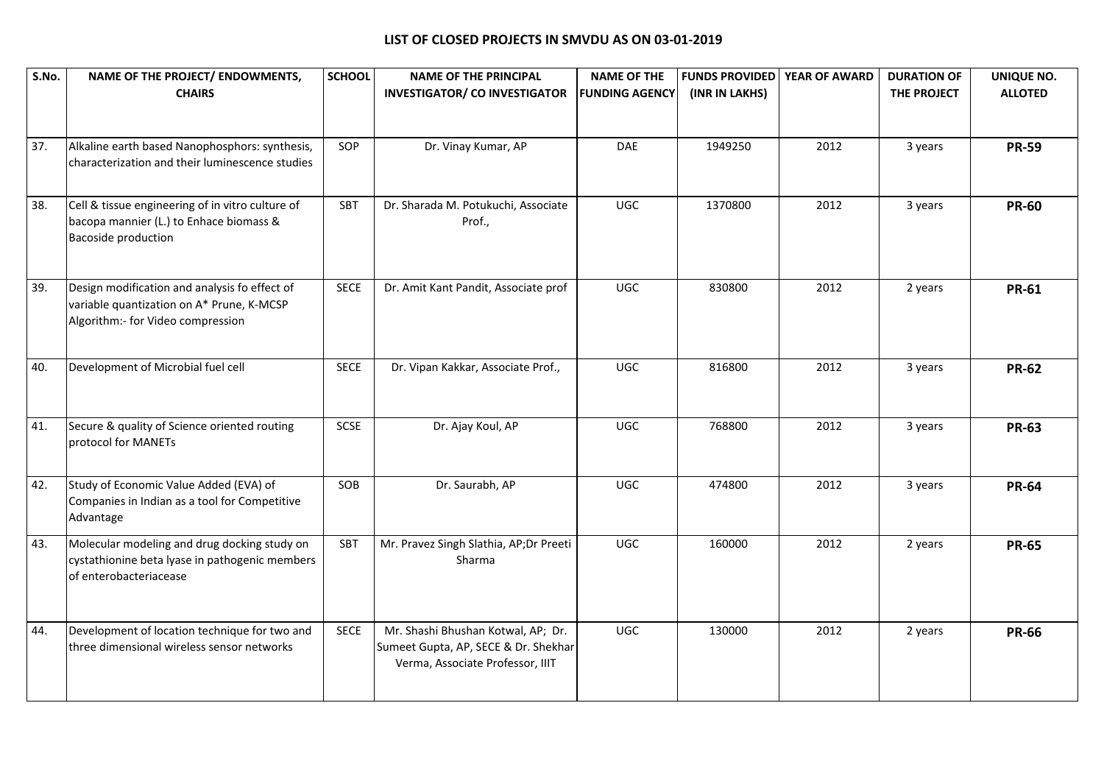| S.No. | NAME OF THE PROJECT/ ENDOWMENTS,<br><b>CHAIRS</b>                                                                               | <b>SCHOOL</b> | <b>NAME OF THE PRINCIPAL</b><br><b>INVESTIGATOR/ CO INVESTIGATOR</b>                                           | <b>NAME OF THE</b><br><b>FUNDING AGENCY</b> | <b>FUNDS PROVIDED</b><br>(INR IN LAKHS) | YEAR OF AWARD | <b>DURATION OF</b><br>THE PROJECT | UNIQUE NO.<br><b>ALLOTED</b> |
|-------|---------------------------------------------------------------------------------------------------------------------------------|---------------|----------------------------------------------------------------------------------------------------------------|---------------------------------------------|-----------------------------------------|---------------|-----------------------------------|------------------------------|
|       |                                                                                                                                 |               |                                                                                                                |                                             |                                         |               |                                   |                              |
| 37.   | Alkaline earth based Nanophosphors: synthesis,<br>characterization and their luminescence studies                               | SOP           | Dr. Vinay Kumar, AP                                                                                            | DAE                                         | 1949250                                 | 2012          | 3 years                           | <b>PR-59</b>                 |
| 38.   | Cell & tissue engineering of in vitro culture of<br>bacopa mannier (L.) to Enhace biomass &<br>Bacoside production              | SBT           | Dr. Sharada M. Potukuchi, Associate<br>Prof.,                                                                  | <b>UGC</b>                                  | 1370800                                 | 2012          | 3 years                           | <b>PR-60</b>                 |
| 39.   | Design modification and analysis fo effect of<br>variable quantization on A* Prune, K-MCSP<br>Algorithm:- for Video compression | <b>SECE</b>   | Dr. Amit Kant Pandit, Associate prof                                                                           | <b>UGC</b>                                  | 830800                                  | 2012          | 2 years                           | <b>PR-61</b>                 |
| 40.   | Development of Microbial fuel cell                                                                                              | <b>SECE</b>   | Dr. Vipan Kakkar, Associate Prof.,                                                                             | <b>UGC</b>                                  | 816800                                  | 2012          | 3 years                           | <b>PR-62</b>                 |
| 41.   | Secure & quality of Science oriented routing<br>protocol for MANETs                                                             | SCSE          | Dr. Ajay Koul, AP                                                                                              | <b>UGC</b>                                  | 768800                                  | 2012          | 3 years                           | <b>PR-63</b>                 |
| 42.   | Study of Economic Value Added (EVA) of<br>Companies in Indian as a tool for Competitive<br>Advantage                            | SOB           | Dr. Saurabh, AP                                                                                                | <b>UGC</b>                                  | 474800                                  | 2012          | 3 years                           | <b>PR-64</b>                 |
| 43.   | Molecular modeling and drug docking study on<br>cystathionine beta lyase in pathogenic members<br>of enterobacteriacease        | SBT           | Mr. Pravez Singh Slathia, AP;Dr Preeti<br>Sharma                                                               | <b>UGC</b>                                  | 160000                                  | 2012          | 2 years                           | <b>PR-65</b>                 |
| 44.   | Development of location technique for two and<br>three dimensional wireless sensor networks                                     | <b>SECE</b>   | Mr. Shashi Bhushan Kotwal, AP; Dr.<br>Sumeet Gupta, AP, SECE & Dr. Shekhar<br>Verma, Associate Professor, IIIT | <b>UGC</b>                                  | 130000                                  | 2012          | 2 years                           | <b>PR-66</b>                 |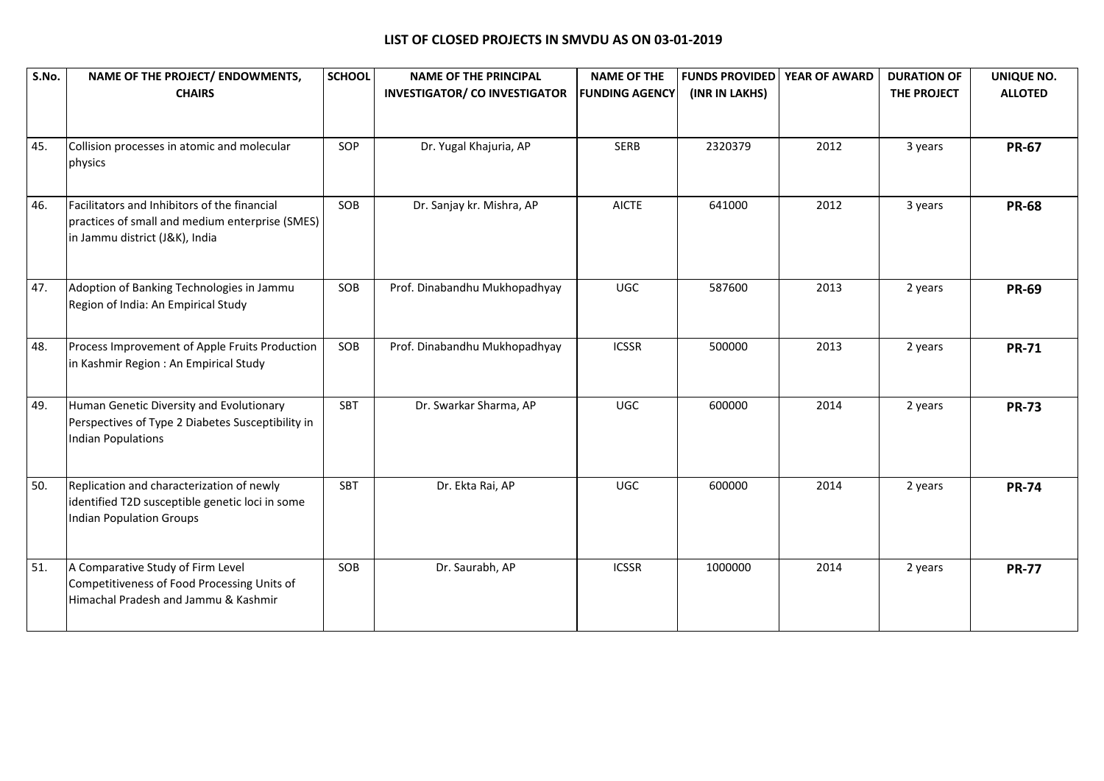| S.No. | NAME OF THE PROJECT/ ENDOWMENTS,<br><b>CHAIRS</b>                                                                                 | <b>SCHOOL</b> | <b>NAME OF THE PRINCIPAL</b><br><b>INVESTIGATOR/ CO INVESTIGATOR</b> | <b>NAME OF THE</b><br><b>FUNDING AGENCY</b> | <b>FUNDS PROVIDED</b><br>(INR IN LAKHS) | YEAR OF AWARD | <b>DURATION OF</b><br>THE PROJECT | UNIQUE NO.<br><b>ALLOTED</b> |
|-------|-----------------------------------------------------------------------------------------------------------------------------------|---------------|----------------------------------------------------------------------|---------------------------------------------|-----------------------------------------|---------------|-----------------------------------|------------------------------|
|       |                                                                                                                                   |               |                                                                      |                                             |                                         |               |                                   |                              |
| 45.   | Collision processes in atomic and molecular<br>physics                                                                            | SOP           | Dr. Yugal Khajuria, AP                                               | <b>SERB</b>                                 | 2320379                                 | 2012          | 3 years                           | <b>PR-67</b>                 |
| 46.   | Facilitators and Inhibitors of the financial<br>practices of small and medium enterprise (SMES)<br>in Jammu district (J&K), India | SOB           | Dr. Sanjay kr. Mishra, AP                                            | <b>AICTE</b>                                | 641000                                  | 2012          | 3 years                           | <b>PR-68</b>                 |
| 47.   | Adoption of Banking Technologies in Jammu<br>Region of India: An Empirical Study                                                  | SOB           | Prof. Dinabandhu Mukhopadhyay                                        | <b>UGC</b>                                  | 587600                                  | 2013          | 2 years                           | <b>PR-69</b>                 |
| 48.   | Process Improvement of Apple Fruits Production<br>in Kashmir Region: An Empirical Study                                           | SOB           | Prof. Dinabandhu Mukhopadhyay                                        | <b>ICSSR</b>                                | 500000                                  | 2013          | 2 years                           | <b>PR-71</b>                 |
| 49.   | Human Genetic Diversity and Evolutionary<br>Perspectives of Type 2 Diabetes Susceptibility in<br><b>Indian Populations</b>        | SBT           | Dr. Swarkar Sharma, AP                                               | <b>UGC</b>                                  | 600000                                  | 2014          | 2 years                           | <b>PR-73</b>                 |
| 50.   | Replication and characterization of newly<br>identified T2D susceptible genetic loci in some<br><b>Indian Population Groups</b>   | SBT           | Dr. Ekta Rai, AP                                                     | <b>UGC</b>                                  | 600000                                  | 2014          | 2 years                           | <b>PR-74</b>                 |
| 51.   | A Comparative Study of Firm Level<br>Competitiveness of Food Processing Units of<br>Himachal Pradesh and Jammu & Kashmir          | SOB           | Dr. Saurabh, AP                                                      | <b>ICSSR</b>                                | 1000000                                 | 2014          | 2 years                           | <b>PR-77</b>                 |